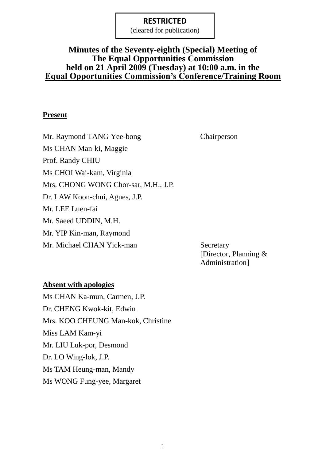(cleared for publication)

### **Minutes of the Seventy-eighth (Special) Meeting of The Equal Opportunities Commission held on 21 April 2009 (Tuesday) at 10:00 a.m. in the Equal Opportunities Commission's Conference/Training Room**

### **Present**

Mr. Raymond TANG Yee-bong Chairperson Ms CHAN Man-ki, Maggie Prof. Randy CHIU Ms CHOI Wai-kam, Virginia Mrs. CHONG WONG Chor-sar, M.H., J.P. Dr. LAW Koon-chui, Agnes, J.P. Mr. LEE Luen-fai Mr. Saeed UDDIN, M.H. Mr. YIP Kin-man, Raymond Mr. Michael CHAN Yick-man Secretary

[Director, Planning & Administration]

### **Absent with apologies**

Ms CHAN Ka-mun, Carmen, J.P. Dr. CHENG Kwok-kit, Edwin Mrs. KOO CHEUNG Man-kok, Christine Miss LAM Kam-yi Mr. LIU Luk-por, Desmond Dr. LO Wing-lok, J.P. Ms TAM Heung-man, Mandy Ms WONG Fung-yee, Margaret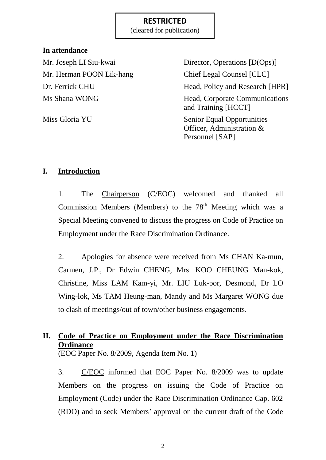(cleared for publication)

### **In attendance**

Mr. Herman POON Lik-hang Chief Legal Counsel [CLC]

Mr. Joseph LI Siu-kwai Director, Operations [D(Ops)] Dr. Ferrick CHU Head, Policy and Research [HPR] Ms Shana WONG Head, Corporate Communications and Training [HCCT] Miss Gloria YU Senior Equal Opportunities Officer, Administration & Personnel [SAP]

## **I. Introduction**

1. The Chairperson (C/EOC) welcomed and thanked all Commission Members (Members) to the  $78<sup>th</sup>$  Meeting which was a Special Meeting convened to discuss the progress on Code of Practice on Employment under the Race Discrimination Ordinance.

2. Apologies for absence were received from Ms CHAN Ka-mun, Carmen, J.P., Dr Edwin CHENG, Mrs. KOO CHEUNG Man-kok, Christine, Miss LAM Kam-yi, Mr. LIU Luk-por, Desmond, Dr LO Wing-lok, Ms TAM Heung-man, Mandy and Ms Margaret WONG due to clash of meetings/out of town/other business engagements.

# **II. Code of Practice on Employment under the Race Discrimination Ordinance**

(EOC Paper No. 8/2009, Agenda Item No. 1)

3. C/EOC informed that EOC Paper No. 8/2009 was to update Members on the progress on issuing the Code of Practice on Employment (Code) under the Race Discrimination Ordinance Cap. 602 (RDO) and to seek Members' approval on the current draft of the Code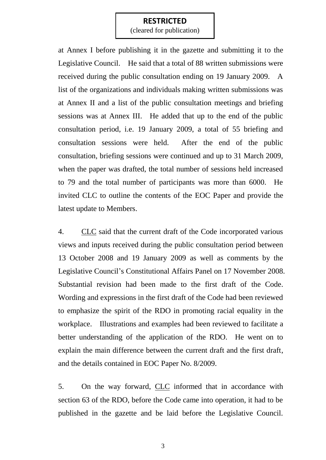(cleared for publication)

at Annex I before publishing it in the gazette and submitting it to the Legislative Council. He said that a total of 88 written submissions were received during the public consultation ending on 19 January 2009. A list of the organizations and individuals making written submissions was at Annex II and a list of the public consultation meetings and briefing sessions was at Annex III. He added that up to the end of the public consultation period, i.e. 19 January 2009, a total of 55 briefing and consultation sessions were held. After the end of the public consultation, briefing sessions were continued and up to 31 March 2009, when the paper was drafted, the total number of sessions held increased to 79 and the total number of participants was more than 6000. He invited CLC to outline the contents of the EOC Paper and provide the latest update to Members.

4. CLC said that the current draft of the Code incorporated various views and inputs received during the public consultation period between 13 October 2008 and 19 January 2009 as well as comments by the Legislative Council's Constitutional Affairs Panel on 17 November 2008. Substantial revision had been made to the first draft of the Code. Wording and expressions in the first draft of the Code had been reviewed to emphasize the spirit of the RDO in promoting racial equality in the workplace. Illustrations and examples had been reviewed to facilitate a better understanding of the application of the RDO. He went on to explain the main difference between the current draft and the first draft, and the details contained in EOC Paper No. 8/2009.

5. On the way forward, CLC informed that in accordance with section 63 of the RDO, before the Code came into operation, it had to be published in the gazette and be laid before the Legislative Council.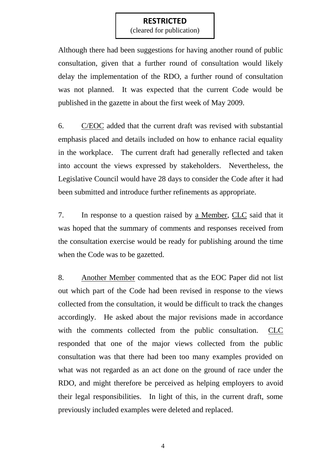(cleared for publication)

Although there had been suggestions for having another round of public consultation, given that a further round of consultation would likely delay the implementation of the RDO, a further round of consultation was not planned. It was expected that the current Code would be published in the gazette in about the first week of May 2009.

6. C/EOC added that the current draft was revised with substantial emphasis placed and details included on how to enhance racial equality in the workplace. The current draft had generally reflected and taken into account the views expressed by stakeholders. Nevertheless, the Legislative Council would have 28 days to consider the Code after it had been submitted and introduce further refinements as appropriate.

7. In response to a question raised by a Member, CLC said that it was hoped that the summary of comments and responses received from the consultation exercise would be ready for publishing around the time when the Code was to be gazetted.

8. Another Member commented that as the EOC Paper did not list out which part of the Code had been revised in response to the views collected from the consultation, it would be difficult to track the changes accordingly. He asked about the major revisions made in accordance with the comments collected from the public consultation. CLC responded that one of the major views collected from the public consultation was that there had been too many examples provided on what was not regarded as an act done on the ground of race under the RDO, and might therefore be perceived as helping employers to avoid their legal responsibilities. In light of this, in the current draft, some previously included examples were deleted and replaced.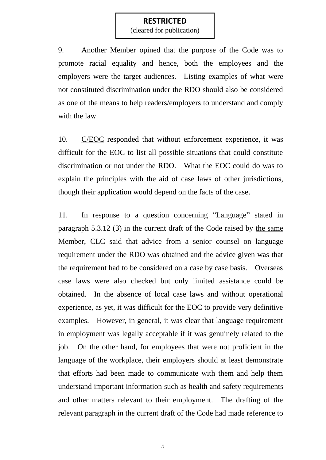(cleared for publication)

9. Another Member opined that the purpose of the Code was to promote racial equality and hence, both the employees and the employers were the target audiences. Listing examples of what were not constituted discrimination under the RDO should also be considered as one of the means to help readers/employers to understand and comply with the law.

10. C/EOC responded that without enforcement experience, it was difficult for the EOC to list all possible situations that could constitute discrimination or not under the RDO. What the EOC could do was to explain the principles with the aid of case laws of other jurisdictions, though their application would depend on the facts of the case.

11. In response to a question concerning "Language" stated in paragraph 5.3.12 (3) in the current draft of the Code raised by the same Member, CLC said that advice from a senior counsel on language requirement under the RDO was obtained and the advice given was that the requirement had to be considered on a case by case basis. Overseas case laws were also checked but only limited assistance could be obtained. In the absence of local case laws and without operational experience, as yet, it was difficult for the EOC to provide very definitive examples. However, in general, it was clear that language requirement in employment was legally acceptable if it was genuinely related to the job. On the other hand, for employees that were not proficient in the language of the workplace, their employers should at least demonstrate that efforts had been made to communicate with them and help them understand important information such as health and safety requirements and other matters relevant to their employment. The drafting of the relevant paragraph in the current draft of the Code had made reference to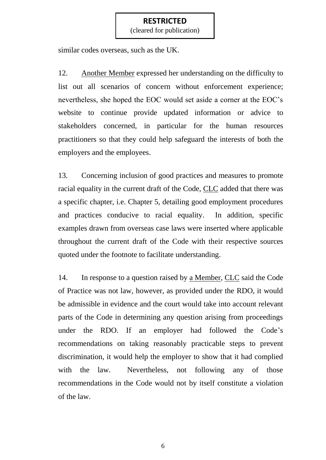(cleared for publication)

similar codes overseas, such as the UK.

12. Another Member expressed her understanding on the difficulty to list out all scenarios of concern without enforcement experience; nevertheless, she hoped the EOC would set aside a corner at the EOC's website to continue provide updated information or advice to stakeholders concerned, in particular for the human resources practitioners so that they could help safeguard the interests of both the employers and the employees.

13. Concerning inclusion of good practices and measures to promote racial equality in the current draft of the Code, CLC added that there was a specific chapter, i.e. Chapter 5, detailing good employment procedures and practices conducive to racial equality. In addition, specific examples drawn from overseas case laws were inserted where applicable throughout the current draft of the Code with their respective sources quoted under the footnote to facilitate understanding.

14. In response to a question raised by a Member, CLC said the Code of Practice was not law, however, as provided under the RDO, it would be admissible in evidence and the court would take into account relevant parts of the Code in determining any question arising from proceedings under the RDO. If an employer had followed the Code's recommendations on taking reasonably practicable steps to prevent discrimination, it would help the employer to show that it had complied with the law. Nevertheless, not following any of those recommendations in the Code would not by itself constitute a violation of the law.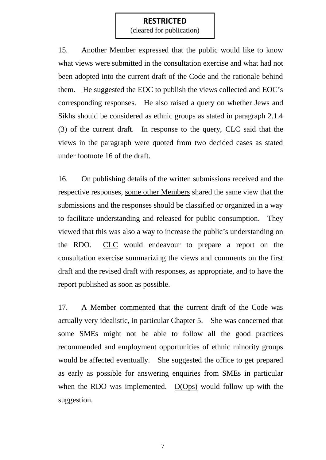(cleared for publication)

15. Another Member expressed that the public would like to know what views were submitted in the consultation exercise and what had not been adopted into the current draft of the Code and the rationale behind them. He suggested the EOC to publish the views collected and EOC's corresponding responses. He also raised a query on whether Jews and Sikhs should be considered as ethnic groups as stated in paragraph 2.1.4 (3) of the current draft. In response to the query, CLC said that the views in the paragraph were quoted from two decided cases as stated under footnote 16 of the draft.

16. On publishing details of the written submissions received and the respective responses, some other Members shared the same view that the submissions and the responses should be classified or organized in a way to facilitate understanding and released for public consumption. They viewed that this was also a way to increase the public's understanding on the RDO. CLC would endeavour to prepare a report on the consultation exercise summarizing the views and comments on the first draft and the revised draft with responses, as appropriate, and to have the report published as soon as possible.

17. A Member commented that the current draft of the Code was actually very idealistic, in particular Chapter 5. She was concerned that some SMEs might not be able to follow all the good practices recommended and employment opportunities of ethnic minority groups would be affected eventually. She suggested the office to get prepared as early as possible for answering enquiries from SMEs in particular when the RDO was implemented. D(Ops) would follow up with the suggestion.

7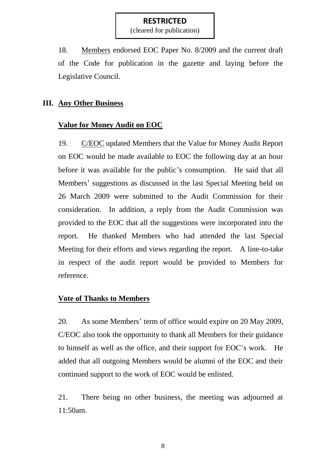(cleared for publication)

18. Members endorsed EOC Paper No. 8/2009 and the current draft of the Code for publication in the gazette and laying before the Legislative Council.

### **III. Any Other Business**

### **Value for Money Audit on EOC**

19. C/EOC updated Members that the Value for Money Audit Report on EOC would be made available to EOC the following day at an hour before it was available for the public's consumption. He said that all Members' suggestions as discussed in the last Special Meeting held on 26 March 2009 were submitted to the Audit Commission for their consideration. In addition, a reply from the Audit Commission was provided to the EOC that all the suggestions were incorporated into the report. He thanked Members who had attended the last Special Meeting for their efforts and views regarding the report. A line-to-take in respect of the audit report would be provided to Members for reference.

### **Vote of Thanks to Members**

20. As some Members' term of office would expire on 20 May 2009, C/EOC also took the opportunity to thank all Members for their guidance to himself as well as the office, and their support for EOC's work. He added that all outgoing Members would be alumni of the EOC and their continued support to the work of EOC would be enlisted.

21. There being no other business, the meeting was adjourned at 11:50am.